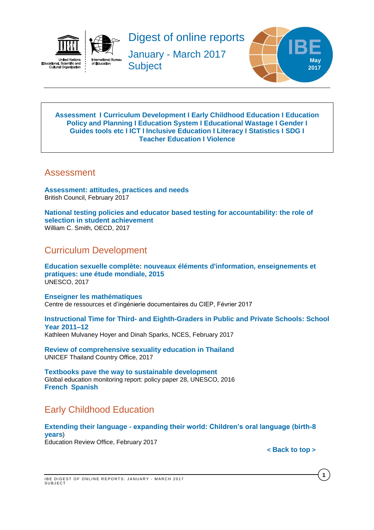



Digest of online reports

January - March 2017 **Subject** 



#### <span id="page-0-3"></span>**[Assessment](#page-0-0) I [Curriculum Development](#page-0-1) I [Early Childhood Education](#page-0-2) I [Education](#page-1-0)  [Policy and Planning](#page-1-0) I [Education](#page-1-1) System I [Educational Wastage](#page-2-0) I [Gender](#page-2-1) I Guides [tools etc](#page-2-2) I [ICT](#page-3-0) I [Inclusive Education](#page-3-1) I [Literacy](#page-4-0) I [Statistics](#page-4-1) I [SDG](#page-4-2) I [Teacher Education](#page-4-3) I [Violence](#page-5-0)**

## <span id="page-0-0"></span>Assessment

**[Assessment: attitudes, practices and needs](http://www.teachingenglish.org.uk/sites/teacheng/files/G239_ELTRA_Sheehan%20and%20Munro_FINAL_web.pdf)** British Council, February 2017

**[National testing policies and educator based testing for accountability: the role of](http://www.oecd-ilibrary.org/fr/economics/national-testing-policies-and-educator-based-testing-for-accountability_eco_studies-2016-5jg1jxftj4r3)  [selection in student achievement](http://www.oecd-ilibrary.org/fr/economics/national-testing-policies-and-educator-based-testing-for-accountability_eco_studies-2016-5jg1jxftj4r3)** William C. Smith, OECD, 2017

## <span id="page-0-1"></span>Curriculum Development

**[Education sexuelle complète: nouveaux éléments d'information, enseignements et](http://unesdoc.unesco.org/images/0024/002470/247010f.pdf)  [pratiques: une étude mondiale, 2015](http://unesdoc.unesco.org/images/0024/002470/247010f.pdf)** UNESCO, 2017

**[Enseigner les mathématiques](http://www.lefildubilingue.org/ressources/enseigner-les-mathematiques-sitographie)** Centre de ressources et d'ingénierie documentaires du CIEP, Février 2017

**Instructional Time for Third- [and Eighth-Graders in Public and Private Schools: School](https://nces.ed.gov/pubs2017/2017076.pdf)  [Year 2011–12](https://nces.ed.gov/pubs2017/2017076.pdf)** Kathleen Mulvaney Hoyer and Dinah Sparks, NCES, February 2017

**[Review of comprehensive sexuality education in Thailand](http://unesdoc.unesco.org/images/0024/002475/247510e.pdf)** UNICEF Thailand Country Office, 2017

**[Textbooks pave the way to sustainable development](http://unesdoc.unesco.org/images/0024/002467/246777e.pdf)**  Global education monitoring report: policy paper 28, UNESCO, 2016 **[French](http://unesdoc.unesco.org/images/0024/002467/246777f.pdf) [Spanish](http://unesdoc.unesco.org/images/0024/002467/246777s.pdf)**

# <span id="page-0-2"></span>Early Childhood Education

#### **Extending their language - [expanding their world: Children's oral language \(birth-8](http://www.ero.govt.nz/assets/Uploads/Extending-their-language-expanding-their-world2.pdf)  [years](http://www.ero.govt.nz/assets/Uploads/Extending-their-language-expanding-their-world2.pdf)**) Education Review Office, February 2017

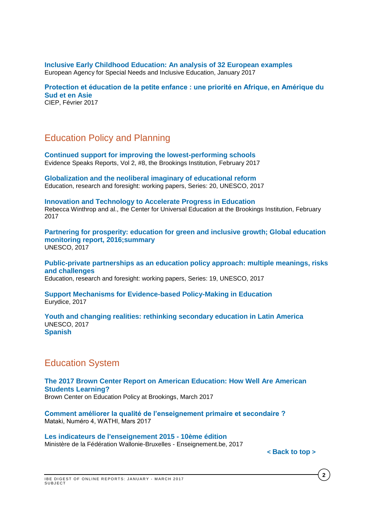**[Inclusive Early Childhood Education: An analysis of 32 European examples](https://www.european-agency.org/sites/default/files/IECE%20%C2%AD%20An%20Analysis%20of%2032%20European%20Examples.pdf)** European Agency for Special Needs and Inclusive Education, January 2017

**[Protection et éducation de la petite enfance : une priorité en Afrique, en Amérique du](http://www.ciep.fr/sites/default/files/atoms/files/focus-protection-education-petite-enfance-priorite-afrique-amerique-sud-asie.pdf)  [Sud et en Asie](http://www.ciep.fr/sites/default/files/atoms/files/focus-protection-education-petite-enfance-priorite-afrique-amerique-sud-asie.pdf)** CIEP, Février 2017

## <span id="page-1-0"></span>Education Policy and Planning

**[Continued support for improving the lowest-performing schools](https://www.brookings.edu/wp-content/uploads/2017/02/es_20170209_loeb_evidence_speaks.pdf)** Evidence Speaks Reports, Vol 2, #8, the Brookings Institution, February 2017

**[Globalization and the neoliberal imaginary of educational reform](http://unesdoc.unesco.org/images/0024/002473/247328e.pdf)** Education, research and foresight: working papers, Series: 20, UNESCO, 2017

**[Innovation and Technology to Accelerate Progress in Education](https://www.brookings.edu/wp-content/uploads/2017/02/global_20170223_innovation-and-technology.pdf)** Rebecca Winthrop and al., the Center for Universal Education at the Brookings Institution, February 2017

**[Partnering for prosperity: education for green and inclusive growth; Global education](http://unesdoc.unesco.org/images/0024/002469/246918e.pdf)  [monitoring report, 2016;summary](http://unesdoc.unesco.org/images/0024/002469/246918e.pdf)**  UNESCO, 2017

**[Public-private partnerships as an education policy approach: multiple meanings, risks](http://unesdoc.unesco.org/images/0024/002473/247327e.pdf)  [and challenges](http://unesdoc.unesco.org/images/0024/002473/247327e.pdf)**

Education, research and foresight: working papers, Series: 19, UNESCO, 2017

#### **[Support Mechanisms for Evidence-based Policy-Making in Education](https://webgate.ec.europa.eu/fpfis/mwikis/eurydice/images/f/f4/206_EN_Evidence_based_policy_making.pdf)** Eurydice, 2017

**[Youth and changing realities: rethinking secondary education in Latin America](http://unesdoc.unesco.org/images/0024/002475/247577e.pdf)** UNESCO, 2017 **[Spanish](http://unesdoc.unesco.org/images/0024/002475/247578s.pdf)**

## <span id="page-1-1"></span>Education System

**[The 2017 Brown Center Report on American Education: How Well Are American](https://www.brookings.edu/wp-content/uploads/2017/03/2017-brown-center-report-on-american-education.pdf)  [Students Learning?](https://www.brookings.edu/wp-content/uploads/2017/03/2017-brown-center-report-on-american-education.pdf)** Brown Center on Education Policy at Brookings, March 2017

**[Comment améliorer la qualité de l'enseignement primaire et secondaire ?](http://www.wathi.org/wp-content/uploads/2017/03/Mataki_Education.pdf)**  Mataki, Numéro 4, WATHI, Mars 2017

**[Les indicateurs de l'enseignement 2015 -](http://www.agers.cfwb.be/index.php?page=26998&navi=2264) 10ème édition** Ministère de la Fédération Wallonie-Bruxelles - Enseignement.be, 2017

**2**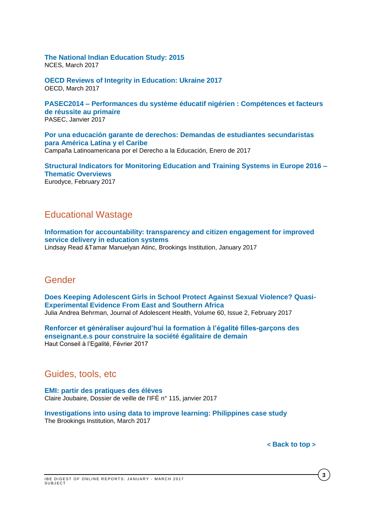# **[The National Indian Education Study: 2015](https://nces.ed.gov/pubsearch/pubsinfo.asp?pubid=2017161)**

NCES, March 2017

**[OECD Reviews of Integrity in Education: Ukraine 2017](http://www.oecd-ilibrary.org/education/oecd-reviews-of-integrity-in-education-ukraine_9789264270664-en)** OECD, March 2017

**PASEC2014 – [Performances du système éducatif nigérien : Compétences et facteurs](http://www.pasec.confemen.org/wp-content/uploads/2017/01/PASEC2014_Rapport-Niger_Final.pdf)  [de réussite au primaire](http://www.pasec.confemen.org/wp-content/uploads/2017/01/PASEC2014_Rapport-Niger_Final.pdf)** PASEC, Janvier 2017

**[Por una educación garante de derechos: Demandas de estudiantes secundaristas](http://v2.campanaderechoeducacion.org/es/publicaciones/clade/publicaciones-tematicas.html?download=392%3A2017-01-20-21-16-50)  [para América Latina y el Caribe](http://v2.campanaderechoeducacion.org/es/publicaciones/clade/publicaciones-tematicas.html?download=392%3A2017-01-20-21-16-50)** Campaña Latinoamericana por el Derecho a la Educación, Enero de 2017

**[Structural Indicators for Monitoring Education and Training Systems in Europe 2016 –](https://webgate.ec.europa.eu/fpfis/mwikis/eurydice/index.php/Publications:Structural_Indicators_for_Monitoring_Education_and_Training_Systems_in_Europe_2016_%E2%80%93_Thematic_Overviews) [Thematic Overviews](https://webgate.ec.europa.eu/fpfis/mwikis/eurydice/index.php/Publications:Structural_Indicators_for_Monitoring_Education_and_Training_Systems_in_Europe_2016_%E2%80%93_Thematic_Overviews)** Eurodyce, February 2017

## <span id="page-2-0"></span>Educational Wastage

**[Information for accountability: transparency and citizen engagement for improved](https://www.brookings.edu/wp-content/uploads/2017/01/global_20170125_information_for_accountability.pdf)  [service delivery in education systems](https://www.brookings.edu/wp-content/uploads/2017/01/global_20170125_information_for_accountability.pdf)** Lindsay Read &Tamar Manuelyan Atinc, Brookings Institution, January 2017

### <span id="page-2-1"></span>Gender

**[Does Keeping Adolescent Girls in School Protect Against Sexual Violence? Quasi-](http://www.jahonline.org/article/S1054-139X(16)30354-8/fulltext)[Experimental Evidence From East and Southern Africa](http://www.jahonline.org/article/S1054-139X(16)30354-8/fulltext)** Julia Andrea Behrman, Journal of Adolescent Health, Volume 60, Issue 2, February 2017

**[Renforcer et généraliser aujourd'hui la formation à l'égalité filles-garçons des](http://www.haut-conseil-egalite.gouv.fr/IMG/pdf/hce_rapport_formation_a_l_egalite_2017_02_22_vf.pdf)  [enseignant.e.s pour construire la société égalitaire de demain](http://www.haut-conseil-egalite.gouv.fr/IMG/pdf/hce_rapport_formation_a_l_egalite_2017_02_22_vf.pdf)** Haut Conseil à l'Egalité, Février 2017

### <span id="page-2-2"></span>Guides, tools, etc

**[EMI: partir des pratiques des élèves](http://ife.ens-lyon.fr/vst/DA-Veille/115-janvier-2017.pdf)** Claire Joubaire, Dossier de veille de l'IFÉ n° 115, janvier 2017

**[Investigations into using data to improve learning: Philippines case study](https://www.brookings.edu/wp-content/uploads/2017/03/global-20170307-philippines-case-study.pdf)** The Brookings Institution, March 2017

**3**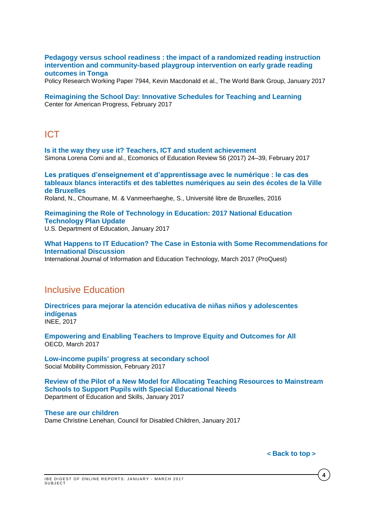#### **[Pedagogy versus school readiness : the impact of a randomized reading instruction](http://documents.worldbank.org/curated/en/651771484764766333/pdf/WPS7944.pdf)  [intervention and community-based playgroup intervention on early grade reading](http://documents.worldbank.org/curated/en/651771484764766333/pdf/WPS7944.pdf)  [outcomes in Tonga](http://documents.worldbank.org/curated/en/651771484764766333/pdf/WPS7944.pdf)**

Policy Research Working Paper 7944, Kevin Macdonald et al., The World Bank Group, January 2017

**[Reimagining the School Day: Innovative Schedules for Teaching and Learning](https://www.americanprogress.org/issues/education/reports/2017/02/23/426723/reimagining-the-school-day/)** Center for American Progress, February 2017

## <span id="page-3-0"></span>ICT

**[Is it the way they use it? Teachers, ICT and student achievement](http://ac.els-cdn.com/S0272775715302776/1-s2.0-S0272775715302776-main.pdf?_tid=7362ea60-f9d9-11e6-a632-00000aacb361&acdnat=1487862482_24d57920a9b69314f513c92f0f37ad4e)** Simona Lorena Comi and al., Ecomonics of Education Review 56 (2017) 24–39, February 2017

**[Les pratiques d'enseignement et d'apprentissage avec le numérique : le cas des](http://www.rean.be/)  [tableaux blancs interactifs et des tablettes numériques au sein des écoles de la Ville](http://www.rean.be/)  [de Bruxelles](http://www.rean.be/)** Roland, N., Choumane, M. & Vanmeerhaeghe, S., Université libre de Bruxelles, 2016

**[Reimagining the Role of Technology in Education: 2017 National Education](https://tech.ed.gov/files/2017/01/NETP17.pdf)  [Technology Plan Update](https://tech.ed.gov/files/2017/01/NETP17.pdf)**

U.S. Department of Education, January 2017

**[What Happens to IT Education? The Case in Estonia with Some Recommendations for](http://search.proquest.com/central/docview/1874276786/AA14672FF0B2439DPQ/37?accountid=41859)  [International Discussion](http://search.proquest.com/central/docview/1874276786/AA14672FF0B2439DPQ/37?accountid=41859)**  International Journal of Information and Education Technology, March 2017 (ProQuest)

## <span id="page-3-1"></span>Inclusive Education

**[Directrices para mejorar la atención educativa de niñas niños y adolescentes](http://publicaciones.inee.edu.mx/buscadorPub/P1/F/104/P1F104.pdf)  [indígenas](http://publicaciones.inee.edu.mx/buscadorPub/P1/F/104/P1F104.pdf)** INEE, 2017

**[Empowering and Enabling Teachers to Improve Equity and Outcomes for All](http://www.oecd-ilibrary.org/education/empowering-and-enabling-teachers-to-improve-equity-and-outcomes-for-all_9789264273238-en)** OECD, March 2017

**[Low-income pupils' progress at secondary school](https://www.gov.uk/government/uploads/system/uploads/attachment_data/file/594363/Progress_at_Secondary_School_report_final.pdf)** Social Mobility Commission, February 2017

**[Review of the Pilot of a New Model for Allocating Teaching Resources to Mainstream](http://www.education.ie/en/Publications/Inspection-Reports-Publications/Evaluation-Reports-Guidelines/Review-of-the-Pilot-of-a-New-Model-for-Allocating-Teaching-Resources-for-Pupils-with-Special-Educational-Needs.pdf)  [Schools to Support Pupils with Special Educational Needs](http://www.education.ie/en/Publications/Inspection-Reports-Publications/Evaluation-Reports-Guidelines/Review-of-the-Pilot-of-a-New-Model-for-Allocating-Teaching-Resources-for-Pupils-with-Special-Educational-Needs.pdf)** Department of Education and Skills, January 2017

#### **[These are our children](https://www.gov.uk/government/uploads/system/uploads/attachment_data/file/585376/Lenehan_Review_Report.pdf)**

Dame Christine Lenehan, Council for Disabled Children, January 2017

**4**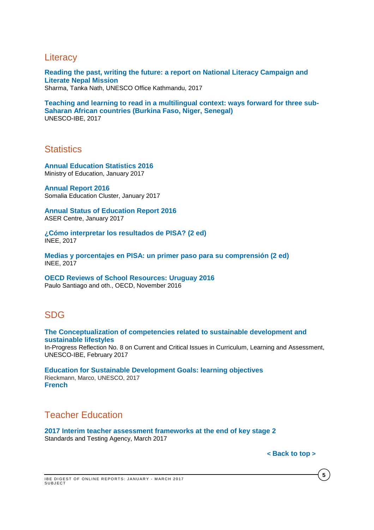## <span id="page-4-0"></span>**Literacy**

**[Reading the past, writing the future: a report on National Literacy Campaign and](http://unesdoc.unesco.org/images/0024/002473/247317e.pdf)  [Literate Nepal Mission](http://unesdoc.unesco.org/images/0024/002473/247317e.pdf)**

Sharma, Tanka Nath, UNESCO Office Kathmandu, 2017

**[Teaching and learning to read in a multilingual context: ways forward for three sub-](http://unesdoc.unesco.org/images/0024/002475/247533e.pdf)[Saharan African countries \(Burkina Faso, Niger, Senegal\)](http://unesdoc.unesco.org/images/0024/002475/247533e.pdf)**  UNESCO-IBE, 2017

## <span id="page-4-1"></span>**Statistics**

**[Annual Education Statistics 2016](http://www.education.gov.bt/documents/10180/12664/Annual+Education+Statistics+2016.pdf/8dc6828d-4de3-4e57-bc8c-0f6e9930422e?version=1.0)** Ministry of Education, January 2017

**[Annual Report 2016](http://reliefweb.int/sites/reliefweb.int/files/resources/somalia_education_cluster_annual_report_2016.pdf)**  Somalia Education Cluster, January 2017

**[Annual Status of Education Report 2016](http://img.asercentre.org/docs/Publications/ASER%20Reports/ASER%202016/aser_2016.pdf)** ASER Centre, January 2017

**[¿Cómo interpretar los resultados de PISA? \(2 ed\)](http://publicaciones.inee.edu.mx/buscadorPub/P1/C/406/P1C406.pdf)** INEE, 2017

**[Medias y porcentajes en PISA: un primer paso para su comprensión \(2 ed\)](http://publicaciones.inee.edu.mx/buscadorPub/P1/C/407/P1C407.pdf)** INEE, 2017

**OECD Reviews of School [Resources:](http://www.oecd-ilibrary.org/docserver/download/9116121e.pdf?expires=1480598764&id=id&accname=guest&checksum=491ED44E74F853675EFF7FB80DCA1C43) Uruguay 2016** Paulo Santiago and oth., OECD, November 2016

## <span id="page-4-2"></span>SDG

**The Conceptualization [of competencies related to sustainable development and](http://unesdoc.unesco.org/images/0024/002473/247343E.pdf)  [sustainable lifestyles](http://unesdoc.unesco.org/images/0024/002473/247343E.pdf)** In-Progress Reflection No. 8 on Current and Critical Issues in Curriculum, Learning and Assessment, UNESCO-IBE, February 2017

**[Education for Sustainable Development Goals: learning objectives](http://unesdoc.unesco.org/images/0024/002474/247444e.pdf)** Rieckmann, Marco, UNESCO, 2017 **[French](http://unesdoc.unesco.org/images/0024/002475/247507f.pdf)**

## <span id="page-4-3"></span>Teacher Education

**[2017 Interim teacher assessment frameworks at the end of key stage 2](https://www.gov.uk/government/uploads/system/uploads/attachment_data/file/538415/2017_interim_teacher_assessment_frameworks_at_the_end_of_key_stage_2_150716_PDFa.pdf)** Standards and Testing Agency, March 2017

**5**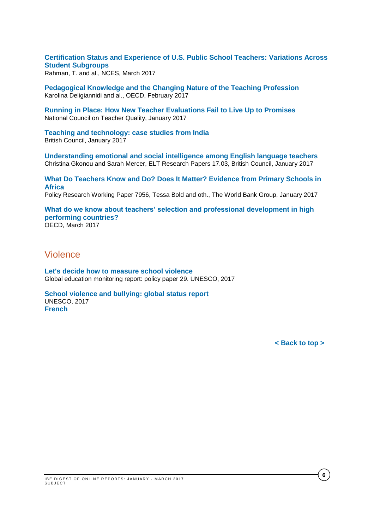**[Certification Status and Experience of U.S. Public School Teachers: Variations Across](http://nces.ed.gov/pubsearch/pubsinfo.asp?pubid=2017056)  [Student Subgroups](http://nces.ed.gov/pubsearch/pubsinfo.asp?pubid=2017056)**

Rahman, T. and al., NCES, March 2017

**[Pedagogical](http://www.oecd-ilibrary.org/education/pedagogical-knowledge-and-the-changing-nature-of-the-teaching-profession_9789264270695-en) Knowledge and the Changing Nature of the Teaching Profession** Karolina Deligiannidi and al., OECD, February 2017

**[Running in Place: How New Teacher Evaluations Fail to Live Up to Promises](http://www.nctq.org/dmsStage/Final_Evaluation_Paper)** National Council on Teacher Quality, January 2017

**[Teaching and technology: case studies from India](http://www.teachingenglish.org.uk/sites/teacheng/files/Teaching%20and%20technology%20case%20studies%20from%20India_FINAL_low_res_NEW.pdf)** British Council, January 2017

**[Understanding emotional and social intelligence among English language teachers](http://www.teachingenglish.org.uk/sites/teacheng/files/G211_ELTRA_Gkonou%20and%20Mercer%20paper_FINAL_web.pdf)** Christina Gkonou and Sarah Mercer, ELT Research Papers 17.03, British Council, January 2017

**[What Do Teachers Know and Do? Does It Matter? Evidence from Primary Schools in](http://documents.worldbank.org/curated/en/882091485440895147/pdf/WPS7956.pdf)  [Africa](http://documents.worldbank.org/curated/en/882091485440895147/pdf/WPS7956.pdf)** 

Policy Research Working Paper 7956, Tessa Bold and oth., The World Bank Group, January 2017

**[What do we know about teachers' selection and professional development in high](http://www.oecd-ilibrary.org/docserver/download/87acdc87-en.pdf?expires=1491889792&id=id&accname=guest&checksum=2ADDFF17F15AFC177090493D67B3B7CE)  [performing countries?](http://www.oecd-ilibrary.org/docserver/download/87acdc87-en.pdf?expires=1491889792&id=id&accname=guest&checksum=2ADDFF17F15AFC177090493D67B3B7CE)** OECD, March 2017

## <span id="page-5-0"></span>Violence

**[Let's decide how to measure school violence](http://unesdoc.unesco.org/images/0024/002469/246984E.pdf)** Global education monitoring report: policy paper 29. UNESCO, 2017

**[School violence and bullying: global status report](http://unesdoc.unesco.org/images/0024/002469/246970e.pdf)** UNESCO, 2017 **[French](http://unesdoc.unesco.org/images/0024/002469/246976f.pdf)**